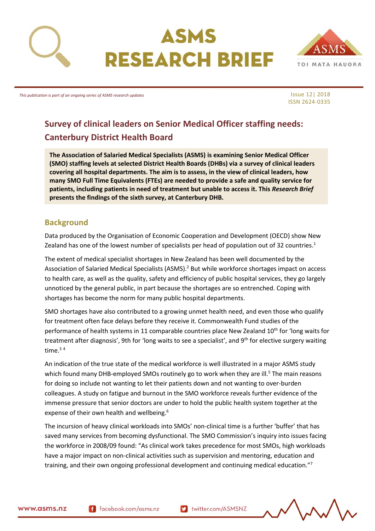

# ASMS **RESEARCH BRIEF**



*This publication is part of an ongoing series of ASMS research updates*

Issue 12| 2018 ISSN 2624-0335

## **Survey of clinical leaders on Senior Medical Officer staffing needs: Canterbury District Health Board**

**The Association of Salaried Medical Specialists (ASMS) is examining Senior Medical Officer (SMO) staffing levels at selected District Health Boards (DHBs) via a survey of clinical leaders covering all hospital departments. The aim is to assess, in the view of clinical leaders, how many SMO Full Time Equivalents (FTEs) are needed to provide a safe and quality service for patients, including patients in need of treatment but unable to access it. This** *Research Brief* **presents the findings of the sixth survey, at Canterbury DHB.** 

## <span id="page-0-0"></span>**Background**

Data produced by the Organisation of Economic Cooperation and Development (OECD) show New Zealand has one of the lowest number of specialists per head of population out of 32 countries.<sup>1</sup>

The extent of medical specialist shortages in New Zealand has been well documented by the Association of Salaried Medical Specialists (ASMS).<sup>2</sup> But while workforce shortages impact on access to health care, as well as the quality, safety and efficiency of public hospital services, they go largely unnoticed by the general public, in part because the shortages are so entrenched. Coping with shortages has become the norm for many public hospital departments.

SMO shortages have also contributed to a growing unmet health need, and even those who qualify for treatment often face delays before they receive it. Commonwealth Fund studies of the performance of health systems in 11 comparable countries place New Zealand 10<sup>th</sup> for 'long waits for treatment after diagnosis', 9th for 'long waits to see a specialist', and 9<sup>th</sup> for elective surgery waiting time.<sup>34</sup>

An indication of the true state of the medical workforce is well illustrated in a major ASMS study which found many DHB-employed SMOs routinely go to work when they are ill.<sup>5</sup> The main reasons for doing so include not wanting to let their patients down and not wanting to over-burden colleagues. A study on fatigue and burnout in the SMO workforce reveals further evidence of the immense pressure that senior doctors are under to hold the public health system together at the expense of their own health and wellbeing.<sup>6</sup>

The incursion of heavy clinical workloads into SMOs' non-clinical time is a further 'buffer' that has saved many services from becoming dysfunctional. The SMO Commission's inquiry into issues facing the workforce in 2008/09 found: "As clinical work takes precedence for most SMOs, high workloads have a major impact on non-clinical activities such as supervision and mentoring, education and training, and their own ongoing professional development and continuing medical education."<sup>7</sup>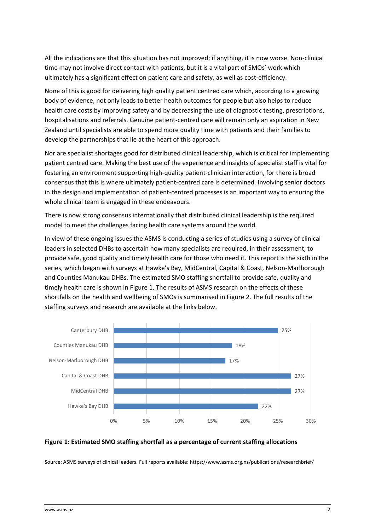All the indications are that this situation has not improved; if anything, it is now worse. Non-clinical time may not involve direct contact with patients, but it is a vital part of SMOs' work which ultimately has a significant effect on patient care and safety, as well as cost-efficiency.

None of this is good for delivering high quality patient centred care which, according to a growing body of evidence, not only leads to better health outcomes for people but also helps to reduce health care costs by improving safety and by decreasing the use of diagnostic testing, prescriptions, hospitalisations and referrals. Genuine patient-centred care will remain only an aspiration in New Zealand until specialists are able to spend more quality time with patients and their families to develop the partnerships that lie at the heart of this approach.

Nor are specialist shortages good for distributed clinical leadership, which is critical for implementing patient centred care. Making the best use of the experience and insights of specialist staff is vital for fostering an environment supporting high-quality patient-clinician interaction, for there is broad consensus that this is where ultimately patient-centred care is determined. Involving senior doctors in the design and implementation of patient-centred processes is an important way to ensuring the whole clinical team is engaged in these endeavours.

There is now strong consensus internationally that distributed clinical leadership is the required model to meet the challenges facing health care systems around the world.

In view of these ongoing issues the ASMS is conducting a series of studies using a survey of clinical leaders in selected DHBs to ascertain how many specialists are required, in their assessment, to provide safe, good quality and timely health care for those who need it. This report is the sixth in the series, which began with surveys at Hawke's Bay, MidCentral, Capital & Coast, Nelson-Marlborough and Counties Manukau DHBs. The estimated SMO staffing shortfall to provide safe, quality and timely health care is shown in Figure 1. The results of ASMS research on the effects of these shortfalls on the health and wellbeing of SMOs is summarised in Figure 2. The full results of the staffing surveys and research are available at the links below.



#### <span id="page-1-0"></span>**Figure 1: Estimated SMO staffing shortfall as a percentage of current staffing allocations**

Source: ASMS surveys of clinical leaders. Full reports available: https://www.asms.org.nz/publications/researchbrief/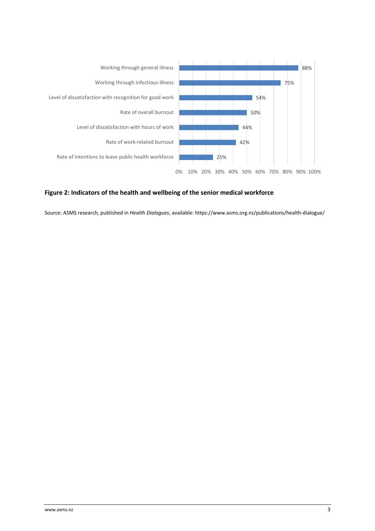

#### <span id="page-2-0"></span>**Figure 2: Indicators of the health and wellbeing of the senior medical workforce**

Source: ASMS research, published in *Health Dialogues*, available: https://www.asms.org.nz/publications/health-dialogue/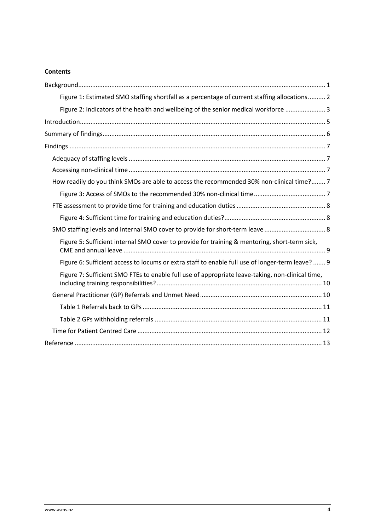#### **Contents**

| Figure 1: Estimated SMO staffing shortfall as a percentage of current staffing allocations 2     |
|--------------------------------------------------------------------------------------------------|
| Figure 2: Indicators of the health and wellbeing of the senior medical workforce  3              |
|                                                                                                  |
|                                                                                                  |
|                                                                                                  |
|                                                                                                  |
|                                                                                                  |
| How readily do you think SMOs are able to access the recommended 30% non-clinical time? 7        |
|                                                                                                  |
|                                                                                                  |
|                                                                                                  |
|                                                                                                  |
| Figure 5: Sufficient internal SMO cover to provide for training & mentoring, short-term sick,    |
| Figure 6: Sufficient access to locums or extra staff to enable full use of longer-term leave?  9 |
| Figure 7: Sufficient SMO FTEs to enable full use of appropriate leave-taking, non-clinical time, |
|                                                                                                  |
|                                                                                                  |
|                                                                                                  |
|                                                                                                  |
|                                                                                                  |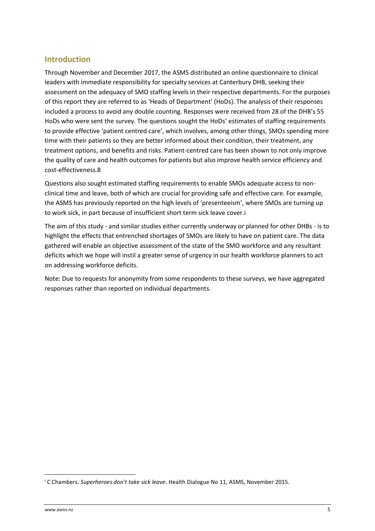### <span id="page-4-0"></span>**Introduction**

Through November and December 2017, the ASMS distributed an online questionnaire to clinical leaders with immediate responsibility for specialty services at Canterbury DHB, seeking their assessment on the adequacy of SMO staffing levels in their respective departments. For the purposes of this report they are referred to as 'Heads of Department' (HoDs). The analysis of their responses included a process to avoid any double counting. Responses were received from 28 of the DHB's 55 HoDs who were sent the survey. The questions sought the HoDs' estimates of staffing requirements to provide effective 'patient centred care', which involves, among other things, SMOs spending more time with their patients so they are better informed about their condition, their treatment, any treatment options, and benefits and risks. Patient-centred care has been shown to not only improve the quality of care and health outcomes for patients but also improve health service efficiency and cost-effectiveness.8

Questions also sought estimated staffing requirements to enable SMOs adequate access to nonclinical time and leave, both of which are crucial for providing safe and effective care. For example, the ASMS has previously reported on the high levels of 'presenteeism', where SMOs are turning up to work sick, in part because of insufficient short term sick leave cover.i

The aim of this study - and similar studies either currently underway or planned for other DHBs - is to highlight the effects that entrenched shortages of SMOs are likely to have on patient care. The data gathered will enable an objective assessment of the state of the SMO workforce and any resultant deficits which we hope will instil a greater sense of urgency in our health workforce planners to act on addressing workforce deficits.

Note: Due to requests for anonymity from some respondents to these surveys, we have aggregated responses rather than reported on individual departments.

 $\overline{a}$ 

<sup>i</sup> C Chambers*. Superheroes don't take sick leave*. Health Dialogue No 11, ASMS, November 2015.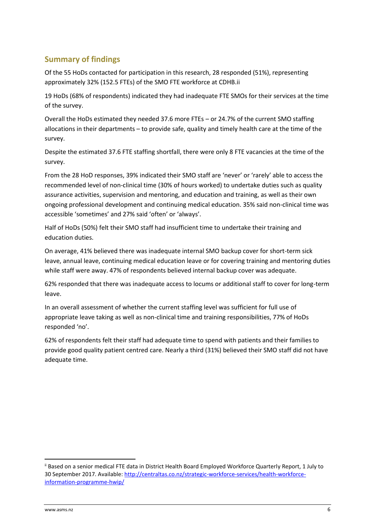## <span id="page-5-0"></span>**Summary of findings**

Of the 55 HoDs contacted for participation in this research, 28 responded (51%), representing approximately 32% (152.5 FTEs) of the SMO FTE workforce at CDHB.ii

19 HoDs (68% of respondents) indicated they had inadequate FTE SMOs for their services at the time of the survey.

Overall the HoDs estimated they needed 37.6 more FTEs – or 24.7% of the current SMO staffing allocations in their departments – to provide safe, quality and timely health care at the time of the survey.

Despite the estimated 37.6 FTE staffing shortfall, there were only 8 FTE vacancies at the time of the survey.

From the 28 HoD responses, 39% indicated their SMO staff are 'never' or 'rarely' able to access the recommended level of non-clinical time (30% of hours worked) to undertake duties such as quality assurance activities, supervision and mentoring, and education and training, as well as their own ongoing professional development and continuing medical education. 35% said non-clinical time was accessible 'sometimes' and 27% said 'often' or 'always'.

Half of HoDs (50%) felt their SMO staff had insufficient time to undertake their training and education duties.

On average, 41% believed there was inadequate internal SMO backup cover for short-term sick leave, annual leave, continuing medical education leave or for covering training and mentoring duties while staff were away. 47% of respondents believed internal backup cover was adequate.

62% responded that there was inadequate access to locums or additional staff to cover for long-term leave.

In an overall assessment of whether the current staffing level was sufficient for full use of appropriate leave taking as well as non-clinical time and training responsibilities, 77% of HoDs responded 'no'.

62% of respondents felt their staff had adequate time to spend with patients and their families to provide good quality patient centred care. Nearly a third (31%) believed their SMO staff did not have adequate time.

 $\overline{\phantom{a}}$ 

ii Based on a senior medical FTE data in District Health Board Employed Workforce Quarterly Report, 1 July to 30 September 2017. Available[: http://centraltas.co.nz/strategic-workforce-services/health-workforce](http://centraltas.co.nz/strategic-workforce-services/health-workforce-information-programme-hwip/)[information-programme-hwip/](http://centraltas.co.nz/strategic-workforce-services/health-workforce-information-programme-hwip/)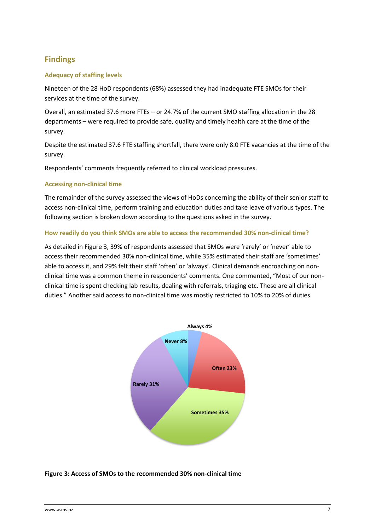## <span id="page-6-0"></span>**Findings**

#### <span id="page-6-1"></span>**Adequacy of staffing levels**

Nineteen of the 28 HoD respondents (68%) assessed they had inadequate FTE SMOs for their services at the time of the survey.

Overall, an estimated 37.6 more FTEs – or 24.7% of the current SMO staffing allocation in the 28 departments – were required to provide safe, quality and timely health care at the time of the survey.

Despite the estimated 37.6 FTE staffing shortfall, there were only 8.0 FTE vacancies at the time of the survey.

Respondents' comments frequently referred to clinical workload pressures.

#### <span id="page-6-2"></span>**Accessing non-clinical time**

The remainder of the survey assessed the views of HoDs concerning the ability of their senior staff to access non-clinical time, perform training and education duties and take leave of various types. The following section is broken down according to the questions asked in the survey.

#### <span id="page-6-3"></span>**How readily do you think SMOs are able to access the recommended 30% non-clinical time?**

As detailed in [Figure](#page-6-4) 3, 39% of respondents assessed that SMOs were 'rarely' or 'never' able to access their recommended 30% non-clinical time, while 35% estimated their staff are 'sometimes' able to access it, and 29% felt their staff 'often' or 'always'. Clinical demands encroaching on nonclinical time was a common theme in respondents' comments. One commented, "Most of our nonclinical time is spent checking lab results, dealing with referrals, triaging etc. These are all clinical duties." Another said access to non-clinical time was mostly restricted to 10% to 20% of duties.



<span id="page-6-4"></span>**Figure 3: Access of SMOs to the recommended 30% non-clinical time**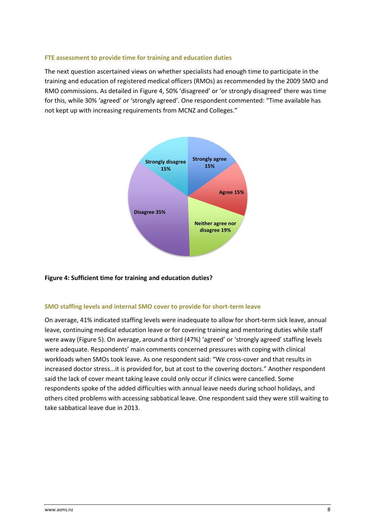#### <span id="page-7-0"></span>**FTE assessment to provide time for training and education duties**

The next question ascertained views on whether specialists had enough time to participate in the training and education of registered medical officers (RMOs) as recommended by the 2009 SMO and RMO commissions. As detailed in Figure 4, 50% 'disagreed' or 'or strongly disagreed' there was time for this, while 30% 'agreed' or 'strongly agreed'. One respondent commented: "Time available has not kept up with increasing requirements from MCNZ and Colleges."



#### <span id="page-7-1"></span>**Figure 4: Sufficient time for training and education duties?**

#### <span id="page-7-2"></span>**SMO staffing levels and internal SMO cover to provide for short-term leave**

On average, 41% indicated staffing levels were inadequate to allow for short-term sick leave, annual leave, continuing medical education leave or for covering training and mentoring duties while staff were away (Figure 5). On average, around a third (47%) 'agreed' or 'strongly agreed' staffing levels were adequate. Respondents' main comments concerned pressures with coping with clinical workloads when SMOs took leave. As one respondent said: "We cross-cover and that results in increased doctor stress...it is provided for, but at cost to the covering doctors." Another respondent said the lack of cover meant taking leave could only occur if clinics were cancelled. Some respondents spoke of the added difficulties with annual leave needs during school holidays, and others cited problems with accessing sabbatical leave. One respondent said they were still waiting to take sabbatical leave due in 2013.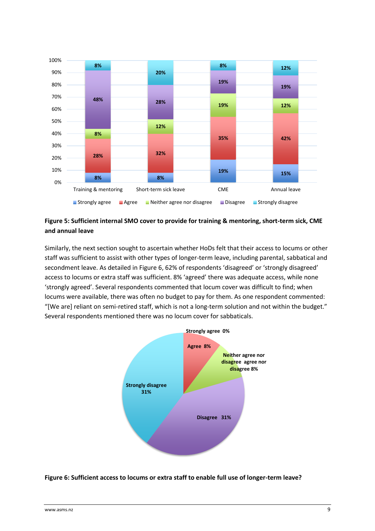

<span id="page-8-0"></span>**Figure 5: Sufficient internal SMO cover to provide for training & mentoring, short-term sick, CME and annual leave**

Similarly, the next section sought to ascertain whether HoDs felt that their access to locums or other staff was sufficient to assist with other types of longer-term leave, including parental, sabbatical and secondment leave. As detailed in Figure 6, 62% of respondents 'disagreed' or 'strongly disagreed' access to locums or extra staff was sufficient. 8% 'agreed' there was adequate access, while none 'strongly agreed'. Several respondents commented that locum cover was difficult to find; when locums were available, there was often no budget to pay for them. As one respondent commented: "[We are] reliant on semi-retired staff, which is not a long-term solution and not within the budget." Several respondents mentioned there was no locum cover for sabbaticals.



<span id="page-8-1"></span>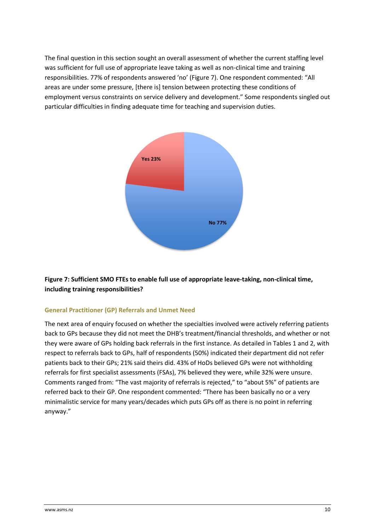The final question in this section sought an overall assessment of whether the current staffing level was sufficient for full use of appropriate leave taking as well as non-clinical time and training responsibilities. 77% of respondents answered 'no' (Figure 7). One respondent commented: "All areas are under some pressure, [there is] tension between protecting these conditions of employment versus constraints on service delivery and development." Some respondents singled out particular difficulties in finding adequate time for teaching and supervision duties.



#### <span id="page-9-0"></span>**Figure 7: Sufficient SMO FTEs to enable full use of appropriate leave-taking, non-clinical time, including training responsibilities?**

#### <span id="page-9-1"></span>**General Practitioner (GP) Referrals and Unmet Need**

The next area of enquiry focused on whether the specialties involved were actively referring patients back to GPs because they did not meet the DHB's treatment/financial thresholds, and whether or not they were aware of GPs holding back referrals in the first instance. As detailed in Tables 1 and 2, with respect to referrals back to GPs, half of respondents (50%) indicated their department did not refer patients back to their GPs; 21% said theirs did. 43% of HoDs believed GPs were not withholding referrals for first specialist assessments (FSAs), 7% believed they were, while 32% were unsure. Comments ranged from: "The vast majority of referrals is rejected," to "about 5%" of patients are referred back to their GP. One respondent commented: "There has been basically no or a very minimalistic service for many years/decades which puts GPs off as there is no point in referring anyway."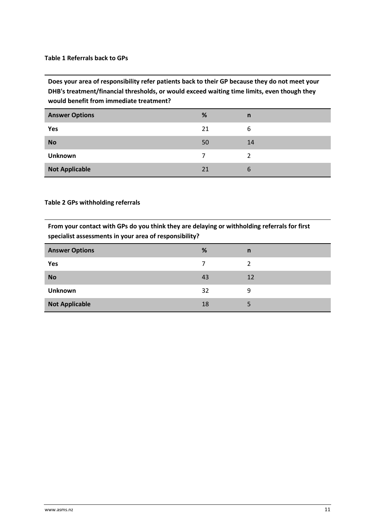#### <span id="page-10-0"></span>**Table 1 Referrals back to GPs**

**Does your area of responsibility refer patients back to their GP because they do not meet your DHB's treatment/financial thresholds, or would exceed waiting time limits, even though they would benefit from immediate treatment?**

| <b>Answer Options</b> | %  | n  |
|-----------------------|----|----|
| Yes                   | 21 | 6  |
| <b>No</b>             | 50 | 14 |
| <b>Unknown</b>        |    | າ  |
| <b>Not Applicable</b> | 21 | b  |

#### <span id="page-10-1"></span>**Table 2 GPs withholding referrals**

**From your contact with GPs do you think they are delaying or withholding referrals for first specialist assessments in your area of responsibility?**

| <b>Answer Options</b> | %  | $\mathsf{n}$ |
|-----------------------|----|--------------|
| Yes                   | 7  |              |
| <b>No</b>             | 43 | 12           |
| <b>Unknown</b>        | 32 | 9            |
| <b>Not Applicable</b> | 18 |              |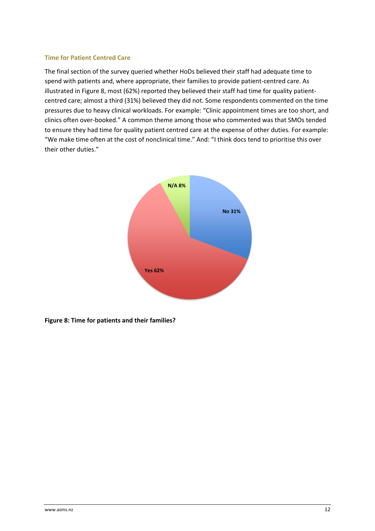#### <span id="page-11-0"></span>**Time for Patient Centred Care**

The final section of the survey queried whether HoDs believed their staff had adequate time to spend with patients and, where appropriate, their families to provide patient-centred care. As illustrated in Figure 8, most (62%) reported they believed their staff had time for quality patientcentred care; almost a third (31%) believed they did not. Some respondents commented on the time pressures due to heavy clinical workloads. For example: "Clinic appointment times are too short, and clinics often over-booked." A common theme among those who commented was that SMOs tended to ensure they had time for quality patient centred care at the expense of other duties. For example: "We make time often at the cost of nonclinical time." And: "I think docs tend to prioritise this over their other duties."



**Figure 8: Time for patients and their families?**